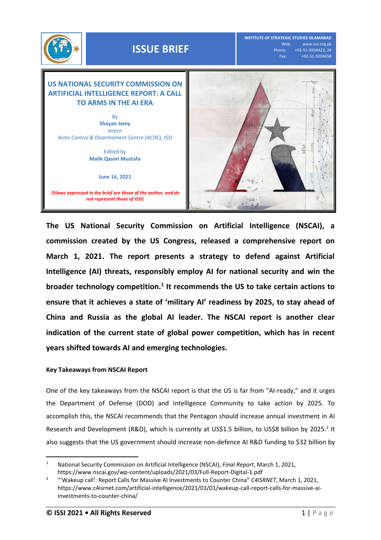

**INSTITUTE OF STRATEGIC STUDIES ISLAMABAD** Web: www.issi.org.pk<br>Phone: +92-51-9204423, 24 one: +92-51-9204423, 24<br>Fax: +92-51-9204658 Fax: +92-51-9204658

## **US NATIONAL SECURITY COMMISSION ON ARTIFICIAL INTELLIGENCE REPORT: A CALL TO ARMS IN THE AI ERA** By **Shayan Jamy** *Intern Arms Control & Disarmament Centre (ACDC), ISSI* Edited by

**June 16, 2021**

**Malik Qasim Mustafa** 

*(Views expressed in the brief are those of the author, and do not represent those of ISSI)*



**The US National Security Commission on Artificial Intelligence (NSCAI), a commission created by the US Congress, released a comprehensive report on March 1, 2021. The report presents a strategy to defend against Artificial Intelligence (AI) threats, responsibly employ AI for national security and win the broader technology competition.<sup>1</sup> It recommends the US to take certain actions to ensure that it achieves a state of 'military AI' readiness by 2025, to stay ahead of China and Russia as the global AI leader. The NSCAI report is another clear indication of the current state of global power competition, which has in recent years shifted towards AI and emerging technologies.** 

## **Key Takeaways from NSCAI Report**

One of the key takeaways from the NSCAI report is that the US is far from "AI-ready," and it urges the Department of Defense (DOD) and Intelligence Community to take action by 2025. To accomplish this, the NSCAI recommends that the Pentagon should increase annual investment in AI Research and Development (R&D), which is currently at US\$1.5 billion, to US\$8 billion by 2025.<sup>2</sup> It also suggests that the US government should increase non-defence AI R&D funding to \$32 billion by

l

<sup>1</sup> National Security Commission on Artificial Intelligence (NSCAI), *Final Report*, March 1, 2021, https://www.nscai.gov/wp-content/uploads/2021/03/Full-Report-Digital-1.pdf

<sup>2</sup> "'Wakeup call': Report Calls for Massive AI Investments to Counter China" *C4ISRNET*, March 1, 2021, https://www.c4isrnet.com/artificial-intelligence/2021/03/01/wakeup-call-report-calls-for-massive-aiinvestments-to-counter-china/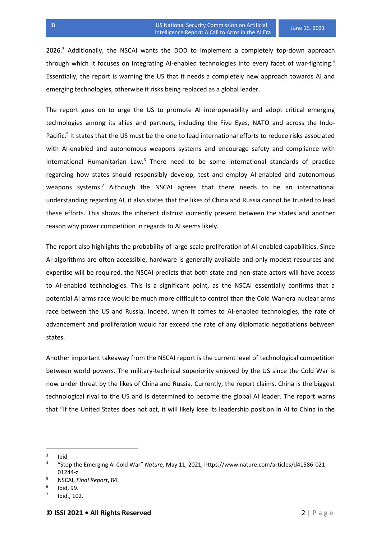2026.<sup>3</sup> Additionally, the NSCAI wants the DOD to implement a completely top-down approach through which it focuses on integrating AI-enabled technologies into every facet of war-fighting.<sup>4</sup> Essentially, the report is warning the US that it needs a completely new approach towards AI and emerging technologies, otherwise it risks being replaced as a global leader.

The report goes on to urge the US to promote AI interoperability and adopt critical emerging technologies among its allies and partners, including the Five Eyes, NATO and across the Indo-Pacific.<sup>5</sup> It states that the US must be the one to lead international efforts to reduce risks associated with AI-enabled and autonomous weapons systems and encourage safety and compliance with International Humanitarian Law.<sup>6</sup> There need to be some international standards of practice regarding how states should responsibly develop, test and employ AI-enabled and autonomous weapons systems.<sup>7</sup> Although the NSCAI agrees that there needs to be an international understanding regarding AI, it also states that the likes of China and Russia cannot be trusted to lead these efforts. This shows the inherent distrust currently present between the states and another reason why power competition in regards to AI seems likely.

The report also highlights the probability of large-scale proliferation of AI-enabled capabilities. Since AI algorithms are often accessible, hardware is generally available and only modest resources and expertise will be required, the NSCAI predicts that both state and non-state actors will have access to AI-enabled technologies. This is a significant point, as the NSCAI essentially confirms that a potential AI arms race would be much more difficult to control than the Cold War-era nuclear arms race between the US and Russia. Indeed, when it comes to AI-enabled technologies, the rate of advancement and proliferation would far exceed the rate of any diplomatic negotiations between states.

Another important takeaway from the NSCAI report is the current level of technological competition between world powers. The military-technical superiority enjoyed by the US since the Cold War is now under threat by the likes of China and Russia. Currently, the report claims, China is the biggest technological rival to the US and is determined to become the global AI leader. The report warns that "if the United States does not act, it will likely lose its leadership position in AI to China in the

 $\overline{a}$ 

<sup>3</sup> Ibid

<sup>4</sup> "Stop the Emerging AI Cold War" *Nature,* May 11, 2021, https://www.nature.com/articles/d41586-021- 01244-z

<sup>5</sup> NSCAI, *Final Report*, 84.

<sup>6</sup> Ibid, 99.

<sup>7</sup> Ibid., 102.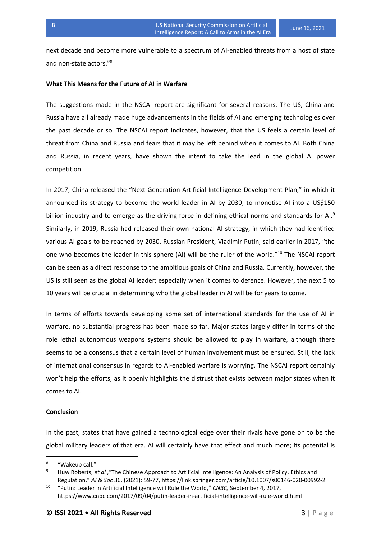next decade and become more vulnerable to a spectrum of AI-enabled threats from a host of state and non-state actors."<sup>8</sup>

## **What This Means for the Future of AI in Warfare**

The suggestions made in the NSCAI report are significant for several reasons. The US, China and Russia have all already made huge advancements in the fields of AI and emerging technologies over the past decade or so. The NSCAI report indicates, however, that the US feels a certain level of threat from China and Russia and fears that it may be left behind when it comes to AI. Both China and Russia, in recent years, have shown the intent to take the lead in the global AI power competition.

In 2017, China released the "Next Generation Artificial Intelligence Development Plan," in which it announced its strategy to become the world leader in AI by 2030, to monetise AI into a US\$150 billion industry and to emerge as the driving force in defining ethical norms and standards for AI.<sup>9</sup> Similarly, in 2019, Russia had released their own national AI strategy, in which they had identified various AI goals to be reached by 2030. Russian President, Vladimir Putin, said earlier in 2017, "the one who becomes the leader in this sphere (AI) will be the ruler of the world."<sup>10</sup> The NSCAI report can be seen as a direct response to the ambitious goals of China and Russia. Currently, however, the US is still seen as the global AI leader; especially when it comes to defence. However, the next 5 to 10 years will be crucial in determining who the global leader in AI will be for years to come.

In terms of efforts towards developing some set of international standards for the use of AI in warfare, no substantial progress has been made so far. Major states largely differ in terms of the role lethal autonomous weapons systems should be allowed to play in warfare, although there seems to be a consensus that a certain level of human involvement must be ensured. Still, the lack of international consensus in regards to AI-enabled warfare is worrying. The NSCAI report certainly won't help the efforts, as it openly highlights the distrust that exists between major states when it comes to AI.

## **Conclusion**

l

In the past, states that have gained a technological edge over their rivals have gone on to be the global military leaders of that era. AI will certainly have that effect and much more; its potential is

<sup>8</sup> "Wakeup call."

Huw Roberts, et al , "The Chinese Approach to Artificial Intelligence: An Analysis of Policy, Ethics and Regulation," *AI & Soc* 36, (2021): 59-77, https://link.springer.com/article/10.1007/s00146-020-00992-2

<sup>10</sup> "Putin: Leader in Artificial Intelligence will Rule the World," *CNBC,* September 4, 2017, https://www.cnbc.com/2017/09/04/putin-leader-in-artificial-intelligence-will-rule-world.html